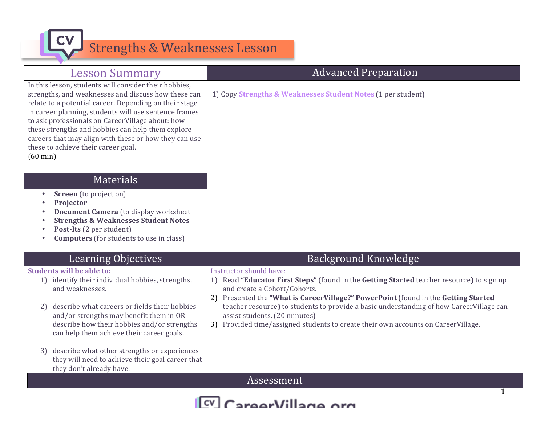

| <b>Lesson Summary</b>                                                                                                                                                                                                                                                                                                                                                                                                                                          | <b>Advanced Preparation</b>                                                                                                                                                                                                                                                                                                                                            |  |
|----------------------------------------------------------------------------------------------------------------------------------------------------------------------------------------------------------------------------------------------------------------------------------------------------------------------------------------------------------------------------------------------------------------------------------------------------------------|------------------------------------------------------------------------------------------------------------------------------------------------------------------------------------------------------------------------------------------------------------------------------------------------------------------------------------------------------------------------|--|
| In this lesson, students will consider their hobbies,<br>strengths, and weaknesses and discuss how these can<br>relate to a potential career. Depending on their stage<br>in career planning, students will use sentence frames<br>to ask professionals on CareerVillage about: how<br>these strengths and hobbies can help them explore<br>careers that may align with these or how they can use<br>these to achieve their career goal.<br>$(60 \text{ min})$ | 1) Copy Strengths & Weaknesses Student Notes (1 per student)                                                                                                                                                                                                                                                                                                           |  |
| <b>Materials</b>                                                                                                                                                                                                                                                                                                                                                                                                                                               |                                                                                                                                                                                                                                                                                                                                                                        |  |
| Screen (to project on)<br>Projector<br>Document Camera (to display worksheet<br><b>Strengths &amp; Weaknesses Student Notes</b><br>Post-Its (2 per student)<br><b>Computers</b> (for students to use in class)                                                                                                                                                                                                                                                 |                                                                                                                                                                                                                                                                                                                                                                        |  |
| <b>Learning Objectives</b>                                                                                                                                                                                                                                                                                                                                                                                                                                     | <b>Background Knowledge</b>                                                                                                                                                                                                                                                                                                                                            |  |
| <b>Students will be able to:</b><br>1) identify their individual hobbies, strengths,<br>and weaknesses.<br>describe what careers or fields their hobbies<br>2)<br>and/or strengths may benefit them in OR                                                                                                                                                                                                                                                      | Instructor should have:<br>1) Read "Educator First Steps" (found in the Getting Started teacher resource) to sign up<br>and create a Cohort/Cohorts.<br>2) Presented the "What is CareerVillage?" PowerPoint (found in the Getting Started<br>teacher resource) to students to provide a basic understanding of how CareerVillage can<br>assist students. (20 minutes) |  |
| describe how their hobbies and/or strengths<br>can help them achieve their career goals.                                                                                                                                                                                                                                                                                                                                                                       | 3) Provided time/assigned students to create their own accounts on CareerVillage.                                                                                                                                                                                                                                                                                      |  |
| describe what other strengths or experiences<br>3)<br>they will need to achieve their goal career that<br>they don't already have.                                                                                                                                                                                                                                                                                                                             |                                                                                                                                                                                                                                                                                                                                                                        |  |
| Assessment                                                                                                                                                                                                                                                                                                                                                                                                                                                     |                                                                                                                                                                                                                                                                                                                                                                        |  |
|                                                                                                                                                                                                                                                                                                                                                                                                                                                                |                                                                                                                                                                                                                                                                                                                                                                        |  |

[CV] CareerVillage org